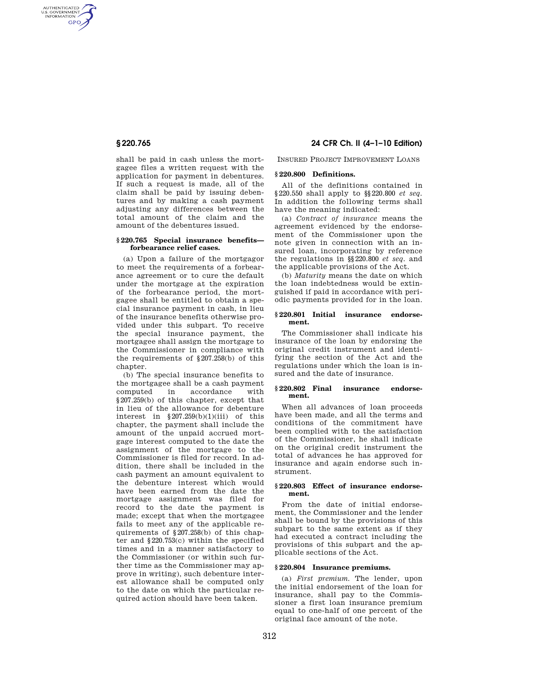AUTHENTICATED<br>U.S. GOVERNMENT<br>INFORMATION GPO

> shall be paid in cash unless the mortgagee files a written request with the application for payment in debentures. If such a request is made, all of the claim shall be paid by issuing debentures and by making a cash payment adjusting any differences between the total amount of the claim and the amount of the debentures issued.

### **§ 220.765 Special insurance benefits forbearance relief cases.**

(a) Upon a failure of the mortgagor to meet the requirements of a forbearance agreement or to cure the default under the mortgage at the expiration of the forbearance period, the mortgagee shall be entitled to obtain a special insurance payment in cash, in lieu of the insurance benefits otherwise provided under this subpart. To receive the special insurance payment, the mortgagee shall assign the mortgage to the Commissioner in compliance with the requirements of §207.258(b) of this chapter.

(b) The special insurance benefits to the mortgagee shall be a cash payment computed in accordance with §207.259(b) of this chapter, except that in lieu of the allowance for debenture interest in  $\S 207.259(b)(1)(iii)$  of this chapter, the payment shall include the amount of the unpaid accrued mortgage interest computed to the date the assignment of the mortgage to the Commissioner is filed for record. In addition, there shall be included in the cash payment an amount equivalent to the debenture interest which would have been earned from the date the mortgage assignment was filed for record to the date the payment is made; except that when the mortgagee fails to meet any of the applicable requirements of §207.258(b) of this chapter and §220.753(c) within the specified times and in a manner satisfactory to the Commissioner (or within such further time as the Commissioner may approve in writing), such debenture interest allowance shall be computed only to the date on which the particular required action should have been taken.

# **§ 220.765 24 CFR Ch. II (4–1–10 Edition)**

INSURED PROJECT IMPROVEMENT LOANS

## **§ 220.800 Definitions.**

All of the definitions contained in §220.550 shall apply to §§220.800 *et seq.*  In addition the following terms shall have the meaning indicated:

(a) *Contract of insurance* means the agreement evidenced by the endorsement of the Commissioner upon the note given in connection with an insured loan, incorporating by reference the regulations in §§220.800 *et seq.* and the applicable provisions of the Act.

(b) *Maturity* means the date on which the loan indebtedness would be extinguished if paid in accordance with periodic payments provided for in the loan.

#### **§ 220.801 Initial insurance endorsement.**

The Commissioner shall indicate his insurance of the loan by endorsing the original credit instrument and identifying the section of the Act and the regulations under which the loan is insured and the date of insurance.

#### **§ 220.802 Final insurance endorsement.**

When all advances of loan proceeds have been made, and all the terms and conditions of the commitment have been complied with to the satisfaction of the Commissioner, he shall indicate on the original credit instrument the total of advances he has approved for insurance and again endorse such instrument.

## **§ 220.803 Effect of insurance endorsement.**

From the date of initial endorsement, the Commissioner and the lender shall be bound by the provisions of this subpart to the same extent as if they had executed a contract including the provisions of this subpart and the applicable sections of the Act.

## **§ 220.804 Insurance premiums.**

(a) *First premium.* The lender, upon the initial endorsement of the loan for insurance, shall pay to the Commissioner a first loan insurance premium equal to one-half of one percent of the original face amount of the note.